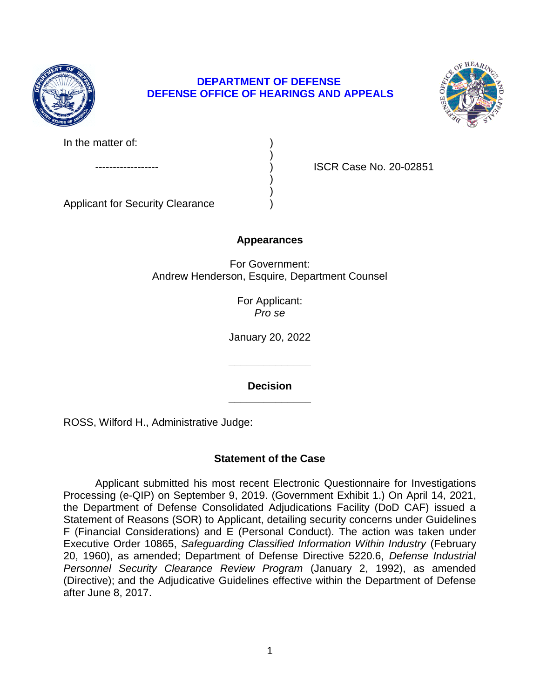

# **DEPARTMENT OF DEFENSE DEFENSE OFFICE OF HEARINGS AND APPEALS**

)

) )



ISCR Case No. 20-02851

Applicant for Security Clearance )

# **Appearances**

For Government: Andrew Henderson, Esquire, Department Counsel

> For Applicant: *Pro se*

January 20, 2022

**\_\_\_\_\_\_\_\_\_\_\_\_\_\_ Decision** 

**\_\_\_\_\_\_\_\_\_\_\_\_\_\_** 

ROSS, Wilford H., Administrative Judge:

# **Statement of the Case**

 the Department of Defense Consolidated Adjudications Facility (DoD CAF) issued a Statement of Reasons (SOR) to Applicant, detailing security concerns under Guidelines F (Financial Considerations) and E (Personal Conduct). The action was taken under Executive Order 10865, Safeguarding Classified Information Within Industry (February 20, 1960), as amended; Department of Defense Directive 5220.6, *Defense Industrial*  Personnel Security Clearance Review Program (January 2, 1992), as amended (Directive); and the Adjudicative Guidelines effective within the Department of Defense Applicant submitted his most recent Electronic Questionnaire for Investigations Processing (e-QIP) on September 9, 2019. (Government Exhibit 1.) On April 14, 2021, after June 8, 2017.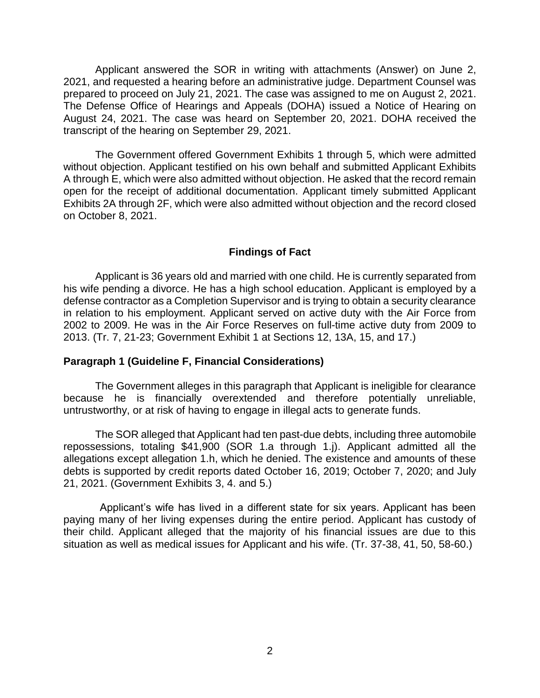Applicant answered the SOR in writing with attachments (Answer) on June 2, 2021, and requested a hearing before an administrative judge. Department Counsel was prepared to proceed on July 21, 2021. The case was assigned to me on August 2, 2021. The Defense Office of Hearings and Appeals (DOHA) issued a Notice of Hearing on August 24, 2021. The case was heard on September 20, 2021. DOHA received the transcript of the hearing on September 29, 2021.

 without objection. Applicant testified on his own behalf and submitted Applicant Exhibits A through E, which were also admitted without objection. He asked that the record remain open for the receipt of additional documentation. Applicant timely submitted Applicant Exhibits 2A through 2F, which were also admitted without objection and the record closed The Government offered Government Exhibits 1 through 5, which were admitted on October 8, 2021.

### **Findings of Fact**

 Applicant is 36 years old and married with one child. He is currently separated from his wife pending a divorce. He has a high school education. Applicant is employed by a defense contractor as a Completion Supervisor and is trying to obtain a security clearance in relation to his employment. Applicant served on active duty with the Air Force from 2002 to 2009. He was in the Air Force Reserves on full-time active duty from 2009 to 2013. (Tr. 7, 21-23; Government Exhibit 1 at Sections 12, 13A, 15, and 17.)

### **Paragraph 1 (Guideline F, Financial Considerations)**

 The Government alleges in this paragraph that Applicant is ineligible for clearance because he is financially overextended and therefore potentially unreliable, untrustworthy, or at risk of having to engage in illegal acts to generate funds.

 repossessions, totaling \$41,900 (SOR 1.a through 1.j). Applicant admitted all the allegations except allegation 1.h, which he denied. The existence and amounts of these debts is supported by credit reports dated October 16, 2019; October 7, 2020; and July The SOR alleged that Applicant had ten past-due debts, including three automobile 21, 2021. (Government Exhibits 3, 4. and 5.)

 Applicant's wife has lived in a different state for six years. Applicant has been paying many of her living expenses during the entire period. Applicant has custody of their child. Applicant alleged that the majority of his financial issues are due to this situation as well as medical issues for Applicant and his wife. (Tr. 37-38, 41, 50, 58-60.)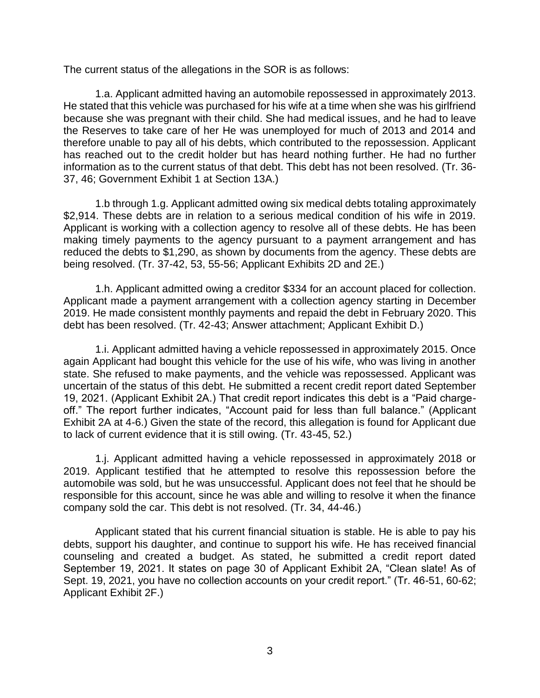The current status of the allegations in the SOR is as follows:

1.a. Applicant admitted having an automobile repossessed in approximately 2013. He stated that this vehicle was purchased for his wife at a time when she was his girlfriend because she was pregnant with their child. She had medical issues, and he had to leave the Reserves to take care of her He was unemployed for much of 2013 and 2014 and therefore unable to pay all of his debts, which contributed to the repossession. Applicant has reached out to the credit holder but has heard nothing further. He had no further information as to the current status of that debt. This debt has not been resolved. (Tr. 36- 37, 46; Government Exhibit 1 at Section 13A.)

 1.b through 1.g. Applicant admitted owing six medical debts totaling approximately \$2,914. These debts are in relation to a serious medical condition of his wife in 2019. Applicant is working with a collection agency to resolve all of these debts. He has been making timely payments to the agency pursuant to a payment arrangement and has reduced the debts to \$1,290, as shown by documents from the agency. These debts are being resolved. (Tr. 37-42, 53, 55-56; Applicant Exhibits 2D and 2E.)

 Applicant made a payment arrangement with a collection agency starting in December 2019. He made consistent monthly payments and repaid the debt in February 2020. This 1.h. Applicant admitted owing a creditor \$334 for an account placed for collection. debt has been resolved. (Tr. 42-43; Answer attachment; Applicant Exhibit D.)

 1.i. Applicant admitted having a vehicle repossessed in approximately 2015. Once again Applicant had bought this vehicle for the use of his wife, who was living in another state. She refused to make payments, and the vehicle was repossessed. Applicant was uncertain of the status of this debt. He submitted a recent credit report dated September off." The report further indicates, "Account paid for less than full balance." (Applicant 19, 2021. (Applicant Exhibit 2A.) That credit report indicates this debt is a "Paid charge-Exhibit 2A at 4-6.) Given the state of the record, this allegation is found for Applicant due to lack of current evidence that it is still owing. (Tr. 43-45, 52.)

 1.j. Applicant admitted having a vehicle repossessed in approximately 2018 or 2019. Applicant testified that he attempted to resolve this repossession before the automobile was sold, but he was unsuccessful. Applicant does not feel that he should be responsible for this account, since he was able and willing to resolve it when the finance company sold the car. This debt is not resolved. (Tr. 34, 44-46.)

 Applicant stated that his current financial situation is stable. He is able to pay his debts, support his daughter, and continue to support his wife. He has received financial counseling and created a budget. As stated, he submitted a credit report dated September 19, 2021. It states on page 30 of Applicant Exhibit 2A, "Clean slate! As of Sept. 19, 2021, you have no collection accounts on your credit report." (Tr. 46-51, 60-62; Applicant Exhibit 2F.)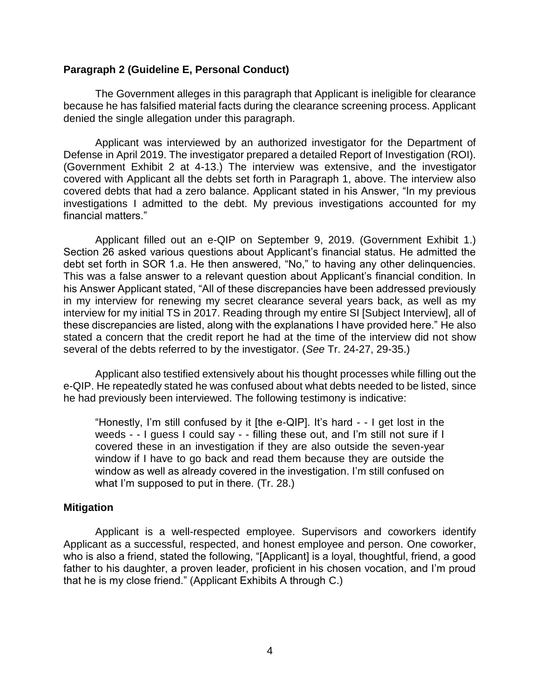### **Paragraph 2 (Guideline E, Personal Conduct)**

 The Government alleges in this paragraph that Applicant is ineligible for clearance because he has falsified material facts during the clearance screening process. Applicant denied the single allegation under this paragraph.

 Applicant was interviewed by an authorized investigator for the Department of Defense in April 2019. The investigator prepared a detailed Report of Investigation (ROI). (Government Exhibit 2 at 4-13.) The interview was extensive, and the investigator covered with Applicant all the debts set forth in Paragraph 1, above. The interview also covered debts that had a zero balance. Applicant stated in his Answer, "In my previous investigations I admitted to the debt. My previous investigations accounted for my financial matters."

 Applicant filled out an e-QIP on September 9, 2019. (Government Exhibit 1.) Section 26 asked various questions about Applicant's financial status. He admitted the debt set forth in SOR 1.a. He then answered, "No," to having any other delinquencies. This was a false answer to a relevant question about Applicant's financial condition. In his Answer Applicant stated, "All of these discrepancies have been addressed previously in my interview for renewing my secret clearance several years back, as well as my interview for my initial TS in 2017. Reading through my entire SI [Subject Interview], all of these discrepancies are listed, along with the explanations I have provided here." He also stated a concern that the credit report he had at the time of the interview did not show several of the debts referred to by the investigator. (*See* Tr. 24-27, 29-35.)

 Applicant also testified extensively about his thought processes while filling out the e-QIP. He repeatedly stated he was confused about what debts needed to be listed, since he had previously been interviewed. The following testimony is indicative:

"Honestly, I'm still confused by it [the e-QIP]. It's hard - - I get lost in the weeds - - I guess I could say - - filling these out, and I'm still not sure if I covered these in an investigation if they are also outside the seven-year window if I have to go back and read them because they are outside the window as well as already covered in the investigation. I'm still confused on what I'm supposed to put in there. (Tr. 28.)

## **Mitigation**

 Applicant as a successful, respected, and honest employee and person. One coworker, father to his daughter, a proven leader, proficient in his chosen vocation, and I'm proud Applicant is a well-respected employee. Supervisors and coworkers identify who is also a friend, stated the following, "[Applicant] is a loyal, thoughtful, friend, a good that he is my close friend." (Applicant Exhibits A through C.)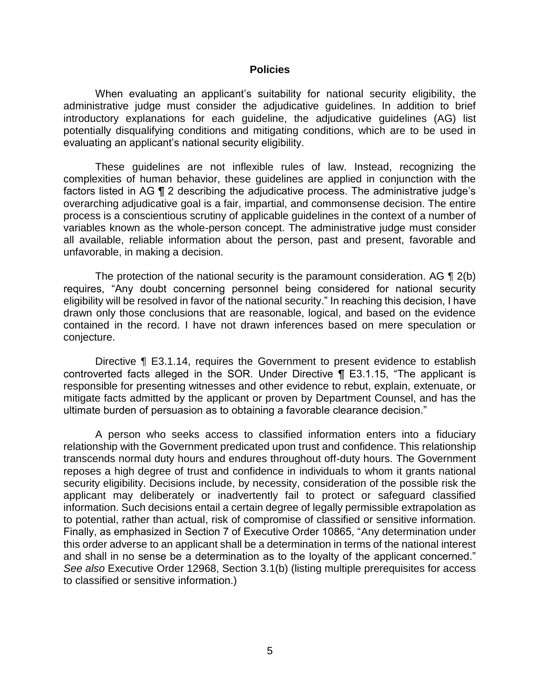#### **Policies**

 When evaluating an applicant's suitability for national security eligibility, the administrative judge must consider the adjudicative guidelines. In addition to brief potentially disqualifying conditions and mitigating conditions, which are to be used in introductory explanations for each guideline, the adjudicative guidelines (AG) list evaluating an applicant's national security eligibility.

 These guidelines are not inflexible rules of law. Instead, recognizing the complexities of human behavior, these guidelines are applied in conjunction with the factors listed in AG ¶ 2 describing the adjudicative process. The administrative judge's overarching adjudicative goal is a fair, impartial, and commonsense decision. The entire variables known as the whole-person concept. The administrative judge must consider all available, reliable information about the person, past and present, favorable and process is a conscientious scrutiny of applicable guidelines in the context of a number of unfavorable, in making a decision.

The protection of the national security is the paramount consideration. AG  $\P$  2(b) requires, "Any doubt concerning personnel being considered for national security eligibility will be resolved in favor of the national security." In reaching this decision, I have drawn only those conclusions that are reasonable, logical, and based on the evidence contained in the record. I have not drawn inferences based on mere speculation or conjecture.

Directive ¶ E3.1.14, requires the Government to present evidence to establish controverted facts alleged in the SOR. Under Directive ¶ E3.1.15, "The applicant is responsible for presenting witnesses and other evidence to rebut, explain, extenuate, or mitigate facts admitted by the applicant or proven by Department Counsel, and has the ultimate burden of persuasion as to obtaining a favorable clearance decision."

 A person who seeks access to classified information enters into a fiduciary relationship with the Government predicated upon trust and confidence. This relationship transcends normal duty hours and endures throughout off-duty hours. The Government reposes a high degree of trust and confidence in individuals to whom it grants national security eligibility. Decisions include, by necessity, consideration of the possible risk the applicant may deliberately or inadvertently fail to protect or safeguard classified information. Such decisions entail a certain degree of legally permissible extrapolation as to potential, rather than actual, risk of compromise of classified or sensitive information. Finally, as emphasized in Section 7 of Executive Order 10865, "Any determination under this order adverse to an applicant shall be a determination in terms of the national interest and shall in no sense be a determination as to the loyalty of the applicant concerned." *See also* Executive Order 12968, Section 3.1(b) (listing multiple prerequisites for access to classified or sensitive information.)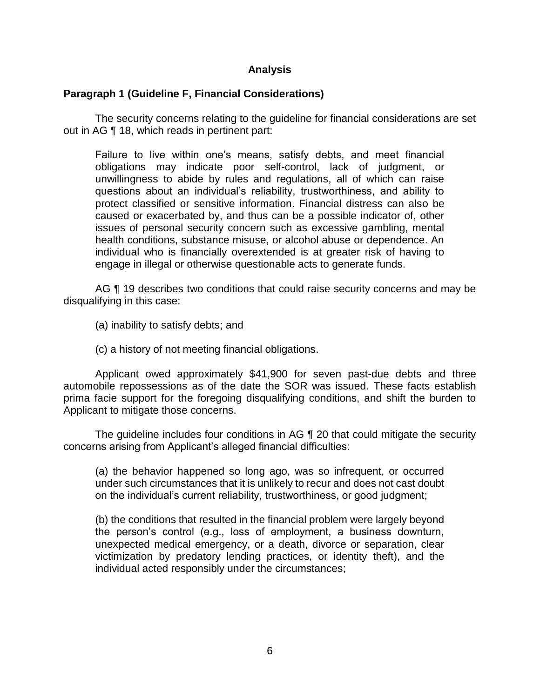## **Analysis**

## **Paragraph 1 (Guideline F, Financial Considerations)**

 The security concerns relating to the guideline for financial considerations are set out in AG ¶ 18, which reads in pertinent part:

Failure to live within one's means, satisfy debts, and meet financial obligations may indicate poor self-control, lack of judgment, or unwillingness to abide by rules and regulations, all of which can raise questions about an individual's reliability, trustworthiness, and ability to protect classified or sensitive information. Financial distress can also be caused or exacerbated by, and thus can be a possible indicator of, other issues of personal security concern such as excessive gambling, mental health conditions, substance misuse, or alcohol abuse or dependence. An individual who is financially overextended is at greater risk of having to engage in illegal or otherwise questionable acts to generate funds.

AG  $\P$  19 describes two conditions that could raise security concerns and may be disqualifying in this case:

(a) inability to satisfy debts; and

(c) a history of not meeting financial obligations.

 Applicant owed approximately \$41,900 for seven past-due debts and three automobile repossessions as of the date the SOR was issued. These facts establish prima facie support for the foregoing disqualifying conditions, and shift the burden to Applicant to mitigate those concerns.

The guideline includes four conditions in AG ¶ 20 that could mitigate the security concerns arising from Applicant's alleged financial difficulties:

(a) the behavior happened so long ago, was so infrequent, or occurred under such circumstances that it is unlikely to recur and does not cast doubt on the individual's current reliability, trustworthiness, or good judgment;

(b) the conditions that resulted in the financial problem were largely beyond the person's control (e.g., loss of employment, a business downturn, unexpected medical emergency, or a death, divorce or separation, clear victimization by predatory lending practices, or identity theft), and the individual acted responsibly under the circumstances;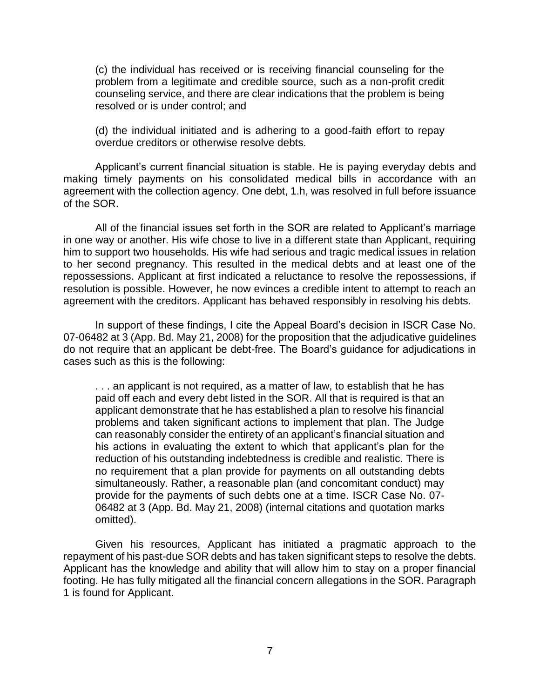(c) the individual has received or is receiving financial counseling for the problem from a legitimate and credible source, such as a non-profit credit counseling service, and there are clear indications that the problem is being resolved or is under control; and

 (d) the individual initiated and is adhering to a good-faith effort to repay overdue creditors or otherwise resolve debts.

 Applicant's current financial situation is stable. He is paying everyday debts and making timely payments on his consolidated medical bills in accordance with an agreement with the collection agency. One debt, 1.h, was resolved in full before issuance of the SOR.

 All of the financial issues set forth in the SOR are related to Applicant's marriage in one way or another. His wife chose to live in a different state than Applicant, requiring him to support two households. His wife had serious and tragic medical issues in relation to her second pregnancy. This resulted in the medical debts and at least one of the repossessions. Applicant at first indicated a reluctance to resolve the repossessions, if resolution is possible. However, he now evinces a credible intent to attempt to reach an agreement with the creditors. Applicant has behaved responsibly in resolving his debts.

In support of these findings, I cite the Appeal Board's decision in ISCR Case No. 07-06482 at 3 (App. Bd. May 21, 2008) for the proposition that the adjudicative guidelines do not require that an applicant be debt-free. The Board's guidance for adjudications in cases such as this is the following:

. . . an applicant is not required, as a matter of law, to establish that he has paid off each and every debt listed in the SOR. All that is required is that an applicant demonstrate that he has established a plan to resolve his financial problems and taken significant actions to implement that plan. The Judge can reasonably consider the entirety of an applicant's financial situation and his actions in evaluating the extent to which that applicant's plan for the reduction of his outstanding indebtedness is credible and realistic. There is no requirement that a plan provide for payments on all outstanding debts simultaneously. Rather, a reasonable plan (and concomitant conduct) may provide for the payments of such debts one at a time. ISCR Case No. 07- 06482 at 3 (App. Bd. May 21, 2008) (internal citations and quotation marks omitted).

 Given his resources, Applicant has initiated a pragmatic approach to the repayment of his past-due SOR debts and has taken significant steps to resolve the debts. Applicant has the knowledge and ability that will allow him to stay on a proper financial footing. He has fully mitigated all the financial concern allegations in the SOR. Paragraph 1 is found for Applicant.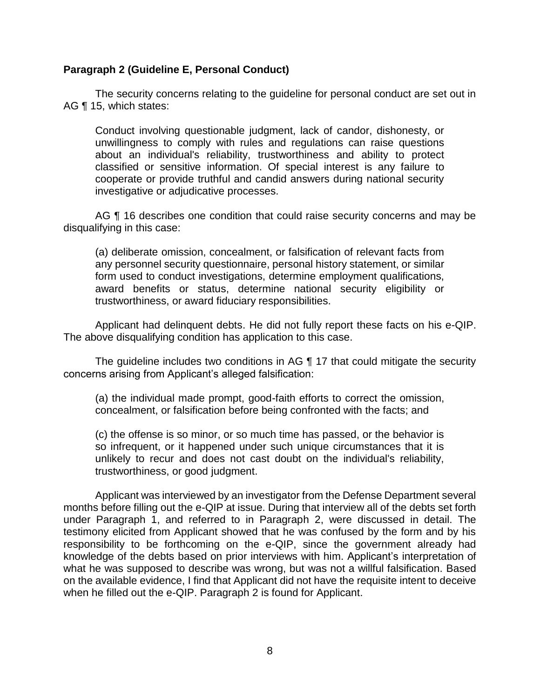## **Paragraph 2 (Guideline E, Personal Conduct)**

 The security concerns relating to the guideline for personal conduct are set out in AG ¶ 15, which states:

Conduct involving questionable judgment, lack of candor, dishonesty, or unwillingness to comply with rules and regulations can raise questions about an individual's reliability, trustworthiness and ability to protect classified or sensitive information. Of special interest is any failure to cooperate or provide truthful and candid answers during national security investigative or adjudicative processes.

AG ¶ 16 describes one condition that could raise security concerns and may be disqualifying in this case:

 any personnel security questionnaire, personal history statement, or similar form used to conduct investigations, determine employment qualifications, award benefits or status, determine national security eligibility or (a) deliberate omission, concealment, or falsification of relevant facts from trustworthiness, or award fiduciary responsibilities.

 Applicant had delinquent debts. He did not fully report these facts on his e-QIP. The above disqualifying condition has application to this case.

The guideline includes two conditions in AG ¶ 17 that could mitigate the security concerns arising from Applicant's alleged falsification:

(a) the individual made prompt, good-faith efforts to correct the omission, concealment, or falsification before being confronted with the facts; and

 (c) the offense is so minor, or so much time has passed, or the behavior is so infrequent, or it happened under such unique circumstances that it is unlikely to recur and does not cast doubt on the individual's reliability, trustworthiness, or good judgment.

 Applicant was interviewed by an investigator from the Defense Department several months before filling out the e-QIP at issue. During that interview all of the debts set forth under Paragraph 1, and referred to in Paragraph 2, were discussed in detail. The testimony elicited from Applicant showed that he was confused by the form and by his responsibility to be forthcoming on the e-QIP, since the government already had knowledge of the debts based on prior interviews with him. Applicant's interpretation of what he was supposed to describe was wrong, but was not a willful falsification. Based on the available evidence, I find that Applicant did not have the requisite intent to deceive when he filled out the e-QIP. Paragraph 2 is found for Applicant.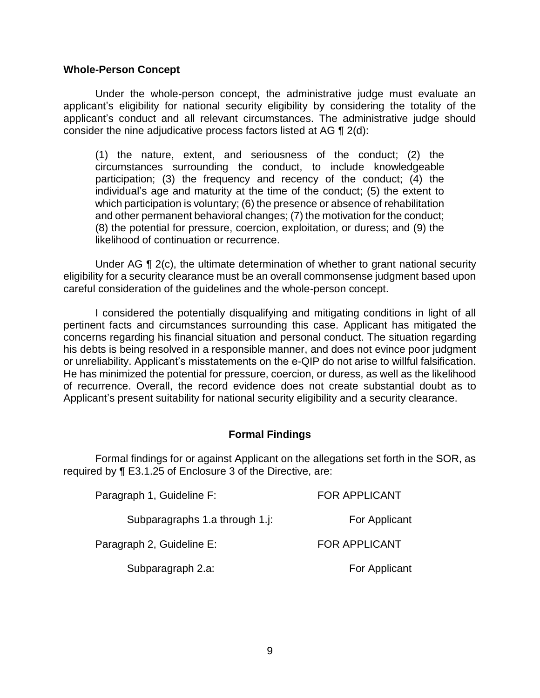### **Whole-Person Concept**

 Under the whole-person concept, the administrative judge must evaluate an applicant's eligibility for national security eligibility by considering the totality of the applicant's conduct and all relevant circumstances. The administrative judge should consider the nine adjudicative process factors listed at AG ¶ 2(d):

 (1) the nature, extent, and seriousness of the conduct; (2) the circumstances surrounding the conduct, to include knowledgeable participation; (3) the frequency and recency of the conduct; (4) the individual's age and maturity at the time of the conduct; (5) the extent to which participation is voluntary; (6) the presence or absence of rehabilitation and other permanent behavioral changes; (7) the motivation for the conduct; (8) the potential for pressure, coercion, exploitation, or duress; and (9) the likelihood of continuation or recurrence.

Under AG ¶ 2(c), the ultimate determination of whether to grant national security eligibility for a security clearance must be an overall commonsense judgment based upon careful consideration of the guidelines and the whole-person concept.

 I considered the potentially disqualifying and mitigating conditions in light of all pertinent facts and circumstances surrounding this case. Applicant has mitigated the concerns regarding his financial situation and personal conduct. The situation regarding his debts is being resolved in a responsible manner, and does not evince poor judgment or unreliability. Applicant's misstatements on the e-QIP do not arise to willful falsification. He has minimized the potential for pressure, coercion, or duress, as well as the likelihood of recurrence. Overall, the record evidence does not create substantial doubt as to Applicant's present suitability for national security eligibility and a security clearance.

## **Formal Findings**

 Formal findings for or against Applicant on the allegations set forth in the SOR, as required by ¶ E3.1.25 of Enclosure 3 of the Directive, are:

| Paragraph 1, Guideline F:      | <b>FOR APPLICANT</b> |
|--------------------------------|----------------------|
| Subparagraphs 1.a through 1.j: | For Applicant        |
| Paragraph 2, Guideline E:      | <b>FOR APPLICANT</b> |
| Subparagraph 2.a:              | For Applicant        |